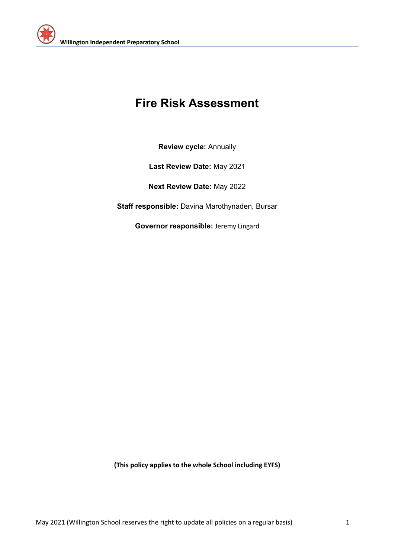

# **Fire Risk Assessment**

**Review cycle:** Annually

**Last Review Date:** May 2021

**Next Review Date:** May 2022

**Staff responsible:** Davina Marothynaden, Bursar

**Governor responsible:** Jeremy Lingard

**(This policy applies to the whole School including EYFS)**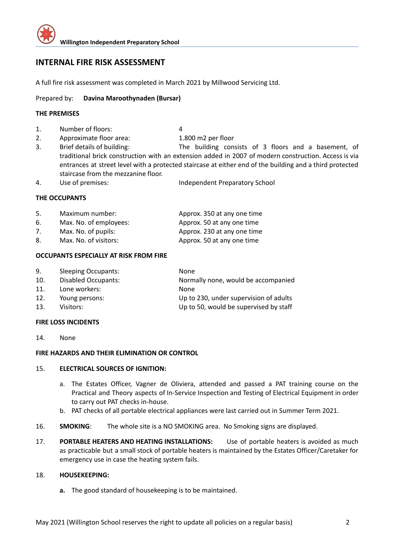

## **INTERNAL FIRE RISK ASSESSMENT**

A full fire risk assessment was completed in March 2021 by Millwood Servicing Ltd.

### Prepared by: **Davina Maroothynaden (Bursar)**

#### **THE PREMISES**

1. Number of floors: 4

2. Approximate floor area: 1.800 m2 per floor

- 3. Brief details of building: The building consists of 3 floors and a basement, of traditional brick construction with an extension added in 2007 of modern construction. Access is via entrances at street level with a protected staircase at either end of the building and a third protected staircase from the mezzanine floor.
- 4. Use of premises: Independent Preparatory School

#### **THE OCCUPANTS**

| 5. | Maximum number:        | Approx. 350 at any one time |
|----|------------------------|-----------------------------|
| 6. | Max. No. of employees: | Approx. 50 at any one time  |
| 7. | Max. No. of pupils:    | Approx. 230 at any one time |
| 8. | Max. No. of visitors:  | Approx. 50 at any one time  |

#### **OCCUPANTS ESPECIALLY AT RISK FROM FIRE**

| 9.  | <b>Sleeping Occupants:</b> | <b>None</b>                            |
|-----|----------------------------|----------------------------------------|
| 10. | <b>Disabled Occupants:</b> | Normally none, would be accompanied    |
| 11. | Lone workers:              | None                                   |
| 12. | Young persons:             | Up to 230, under supervision of adults |
| 13. | Visitors:                  | Up to 50, would be supervised by staff |

#### **FIRE LOSS INCIDENTS**

14. None

#### **FIRE HAZARDS AND THEIR ELIMINATION OR CONTROL**

#### 15. **ELECTRICAL SOURCES OF IGNITION:**

- a. The Estates Officer, Vagner de Oliviera, attended and passed a PAT training course on the Practical and Theory aspects of In-Service Inspection and Testing of Electrical Equipment in order to carry out PAT checks in-house.
- b. PAT checks of all portable electrical appliances were last carried out in Summer Term 2021.
- 16. **SMOKING**: The whole site is a NO SMOKING area. No Smoking signs are displayed.
- 17. **PORTABLE HEATERS AND HEATING INSTALLATIONS:** Use of portable heaters is avoided as much as practicable but a small stock of portable heaters is maintained by the Estates Officer/Caretaker for emergency use in case the heating system fails.

#### 18. **HOUSEKEEPING:**

**a.** The good standard of housekeeping is to be maintained.